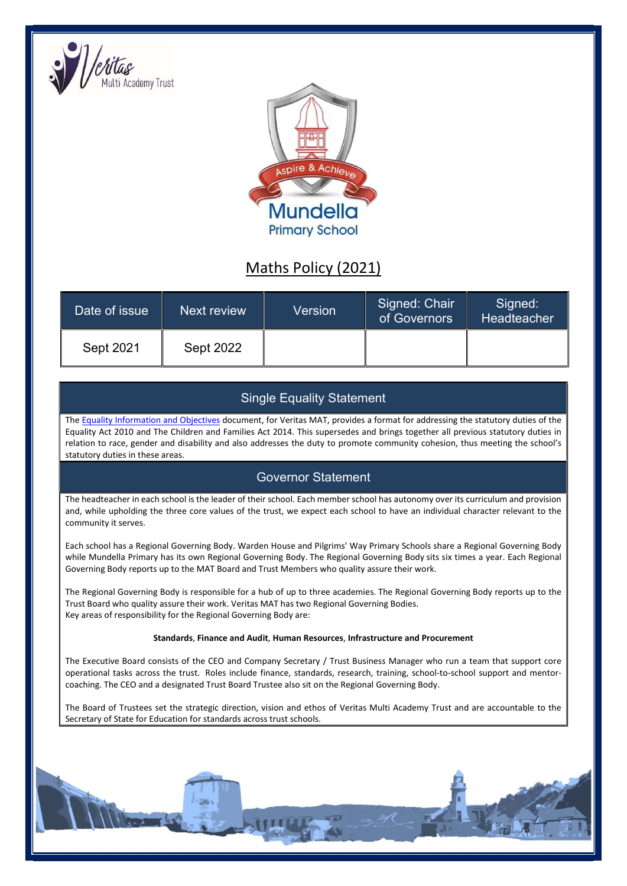



# Maths Policy (2021)

| Date of issue | Next review | Version | Signed: Chair<br>of Governors | Signed:<br>Headteacher |
|---------------|-------------|---------|-------------------------------|------------------------|
| Sept 2021     | Sept 2022   |         |                               |                        |

# Single Equality Statement

The Equality Information and Objectives document, for Veritas MAT, provides a format for addressing the statutory duties of the Equality Act 2010 and The Children and Families Act 2014. This supersedes and brings together all previous statutory duties in relation to race, gender and disability and also addresses the duty to promote community cohesion, thus meeting the school's statutory duties in these areas.

# Governor Statement

The headteacher in each school is the leader of their school. Each member school has autonomy over its curriculum and provision and, while upholding the three core values of the trust, we expect each school to have an individual character relevant to the community it serves.

Each school has a Regional Governing Body. Warden House and Pilgrims' Way Primary Schools share a Regional Governing Body while Mundella Primary has its own Regional Governing Body. The Regional Governing Body sits six times a year. Each Regional Governing Body reports up to the MAT Board and Trust Members who quality assure their work.

The Regional Governing Body is responsible for a hub of up to three academies. The Regional Governing Body reports up to the Trust Board who quality assure their work. Veritas MAT has two Regional Governing Bodies. Key areas of responsibility for the Regional Governing Body are:

# Standards, Finance and Audit, Human Resources, Infrastructure and Procurement

The Executive Board consists of the CEO and Company Secretary / Trust Business Manager who run a team that support core operational tasks across the trust. Roles include finance, standards, research, training, school-to-school support and mentorcoaching. The CEO and a designated Trust Board Trustee also sit on the Regional Governing Body.

The Board of Trustees set the strategic direction, vision and ethos of Veritas Multi Academy Trust and are accountable to the Secretary of State for Education for standards across trust schools.

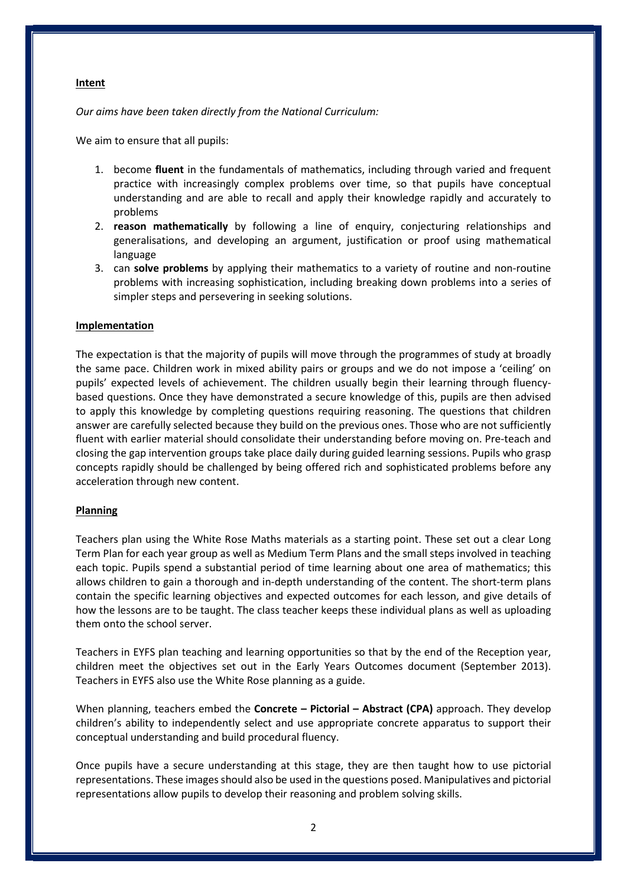#### Intent

Our aims have been taken directly from the National Curriculum:

We aim to ensure that all pupils:

- 1. become fluent in the fundamentals of mathematics, including through varied and frequent practice with increasingly complex problems over time, so that pupils have conceptual understanding and are able to recall and apply their knowledge rapidly and accurately to problems
- 2. reason mathematically by following a line of enquiry, conjecturing relationships and generalisations, and developing an argument, justification or proof using mathematical language
- 3. can solve problems by applying their mathematics to a variety of routine and non-routine problems with increasing sophistication, including breaking down problems into a series of simpler steps and persevering in seeking solutions.

### Implementation

The expectation is that the majority of pupils will move through the programmes of study at broadly the same pace. Children work in mixed ability pairs or groups and we do not impose a 'ceiling' on pupils' expected levels of achievement. The children usually begin their learning through fluencybased questions. Once they have demonstrated a secure knowledge of this, pupils are then advised to apply this knowledge by completing questions requiring reasoning. The questions that children answer are carefully selected because they build on the previous ones. Those who are not sufficiently fluent with earlier material should consolidate their understanding before moving on. Pre-teach and closing the gap intervention groups take place daily during guided learning sessions. Pupils who grasp concepts rapidly should be challenged by being offered rich and sophisticated problems before any acceleration through new content.

# Planning

Teachers plan using the White Rose Maths materials as a starting point. These set out a clear Long Term Plan for each year group as well as Medium Term Plans and the small steps involved in teaching each topic. Pupils spend a substantial period of time learning about one area of mathematics; this allows children to gain a thorough and in-depth understanding of the content. The short-term plans contain the specific learning objectives and expected outcomes for each lesson, and give details of how the lessons are to be taught. The class teacher keeps these individual plans as well as uploading them onto the school server.

Teachers in EYFS plan teaching and learning opportunities so that by the end of the Reception year, children meet the objectives set out in the Early Years Outcomes document (September 2013). Teachers in EYFS also use the White Rose planning as a guide.

When planning, teachers embed the Concrete – Pictorial – Abstract (CPA) approach. They develop children's ability to independently select and use appropriate concrete apparatus to support their conceptual understanding and build procedural fluency.

Once pupils have a secure understanding at this stage, they are then taught how to use pictorial representations. These images should also be used in the questions posed. Manipulatives and pictorial representations allow pupils to develop their reasoning and problem solving skills.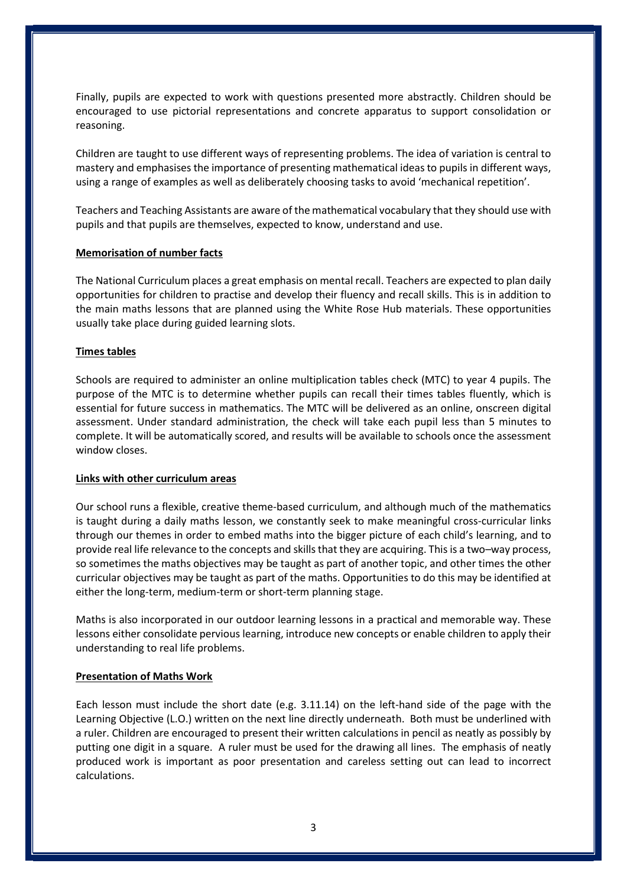Finally, pupils are expected to work with questions presented more abstractly. Children should be encouraged to use pictorial representations and concrete apparatus to support consolidation or reasoning.

Children are taught to use different ways of representing problems. The idea of variation is central to mastery and emphasises the importance of presenting mathematical ideas to pupils in different ways, using a range of examples as well as deliberately choosing tasks to avoid 'mechanical repetition'.

Teachers and Teaching Assistants are aware of the mathematical vocabulary that they should use with pupils and that pupils are themselves, expected to know, understand and use.

### Memorisation of number facts

The National Curriculum places a great emphasis on mental recall. Teachers are expected to plan daily opportunities for children to practise and develop their fluency and recall skills. This is in addition to the main maths lessons that are planned using the White Rose Hub materials. These opportunities usually take place during guided learning slots.

### Times tables

Schools are required to administer an online multiplication tables check (MTC) to year 4 pupils. The purpose of the MTC is to determine whether pupils can recall their times tables fluently, which is essential for future success in mathematics. The MTC will be delivered as an online, onscreen digital assessment. Under standard administration, the check will take each pupil less than 5 minutes to complete. It will be automatically scored, and results will be available to schools once the assessment window closes.

#### Links with other curriculum areas

Our school runs a flexible, creative theme-based curriculum, and although much of the mathematics is taught during a daily maths lesson, we constantly seek to make meaningful cross-curricular links through our themes in order to embed maths into the bigger picture of each child's learning, and to provide real life relevance to the concepts and skills that they are acquiring. This is a two–way process, so sometimes the maths objectives may be taught as part of another topic, and other times the other curricular objectives may be taught as part of the maths. Opportunities to do this may be identified at either the long-term, medium-term or short-term planning stage.

Maths is also incorporated in our outdoor learning lessons in a practical and memorable way. These lessons either consolidate pervious learning, introduce new concepts or enable children to apply their understanding to real life problems.

#### Presentation of Maths Work

Each lesson must include the short date (e.g. 3.11.14) on the left-hand side of the page with the Learning Objective (L.O.) written on the next line directly underneath. Both must be underlined with a ruler. Children are encouraged to present their written calculations in pencil as neatly as possibly by putting one digit in a square. A ruler must be used for the drawing all lines. The emphasis of neatly produced work is important as poor presentation and careless setting out can lead to incorrect calculations.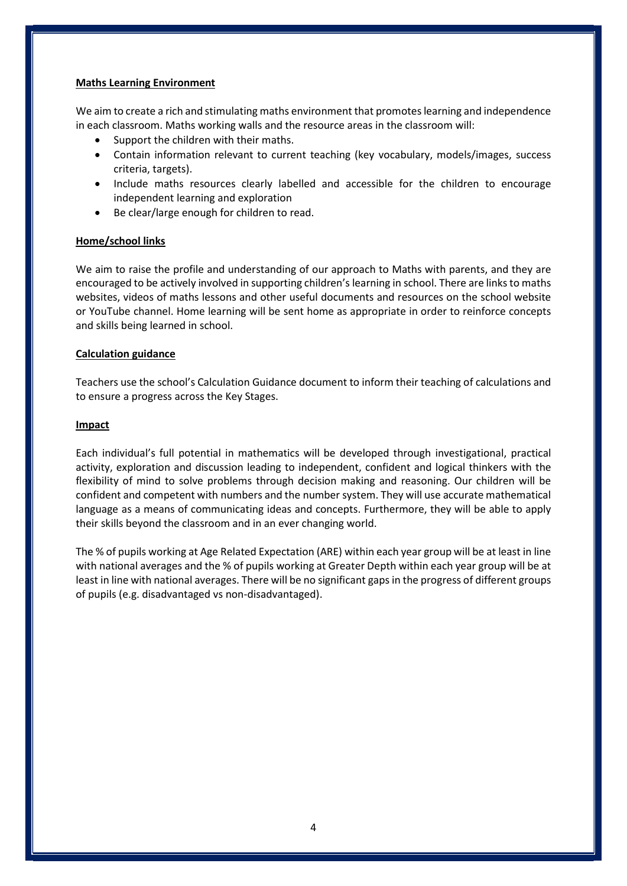#### Maths Learning Environment

We aim to create a rich and stimulating maths environment that promotes learning and independence in each classroom. Maths working walls and the resource areas in the classroom will:

- Support the children with their maths.
- Contain information relevant to current teaching (key vocabulary, models/images, success criteria, targets).
- Include maths resources clearly labelled and accessible for the children to encourage independent learning and exploration
- Be clear/large enough for children to read.

# Home/school links

We aim to raise the profile and understanding of our approach to Maths with parents, and they are encouraged to be actively involved in supporting children's learning in school. There are links to maths websites, videos of maths lessons and other useful documents and resources on the school website or YouTube channel. Home learning will be sent home as appropriate in order to reinforce concepts and skills being learned in school.

# Calculation guidance

Teachers use the school's Calculation Guidance document to inform their teaching of calculations and to ensure a progress across the Key Stages.

# Impact

Each individual's full potential in mathematics will be developed through investigational, practical activity, exploration and discussion leading to independent, confident and logical thinkers with the flexibility of mind to solve problems through decision making and reasoning. Our children will be confident and competent with numbers and the number system. They will use accurate mathematical language as a means of communicating ideas and concepts. Furthermore, they will be able to apply their skills beyond the classroom and in an ever changing world.

The % of pupils working at Age Related Expectation (ARE) within each year group will be at least in line with national averages and the % of pupils working at Greater Depth within each year group will be at least in line with national averages. There will be no significant gaps in the progress of different groups of pupils (e.g. disadvantaged vs non-disadvantaged).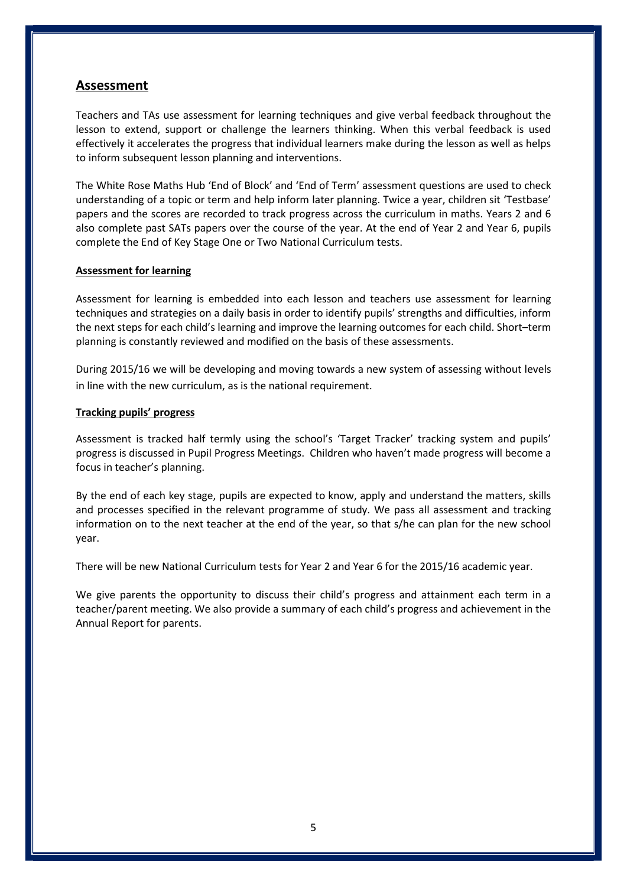# Assessment

Teachers and TAs use assessment for learning techniques and give verbal feedback throughout the lesson to extend, support or challenge the learners thinking. When this verbal feedback is used effectively it accelerates the progress that individual learners make during the lesson as well as helps to inform subsequent lesson planning and interventions.

The White Rose Maths Hub 'End of Block' and 'End of Term' assessment questions are used to check understanding of a topic or term and help inform later planning. Twice a year, children sit 'Testbase' papers and the scores are recorded to track progress across the curriculum in maths. Years 2 and 6 also complete past SATs papers over the course of the year. At the end of Year 2 and Year 6, pupils complete the End of Key Stage One or Two National Curriculum tests.

# Assessment for learning

Assessment for learning is embedded into each lesson and teachers use assessment for learning techniques and strategies on a daily basis in order to identify pupils' strengths and difficulties, inform the next steps for each child's learning and improve the learning outcomes for each child. Short–term planning is constantly reviewed and modified on the basis of these assessments.

During 2015/16 we will be developing and moving towards a new system of assessing without levels in line with the new curriculum, as is the national requirement.

# Tracking pupils' progress

Assessment is tracked half termly using the school's 'Target Tracker' tracking system and pupils' progress is discussed in Pupil Progress Meetings. Children who haven't made progress will become a focus in teacher's planning.

By the end of each key stage, pupils are expected to know, apply and understand the matters, skills and processes specified in the relevant programme of study. We pass all assessment and tracking information on to the next teacher at the end of the year, so that s/he can plan for the new school year.

There will be new National Curriculum tests for Year 2 and Year 6 for the 2015/16 academic year.

We give parents the opportunity to discuss their child's progress and attainment each term in a teacher/parent meeting. We also provide a summary of each child's progress and achievement in the Annual Report for parents.